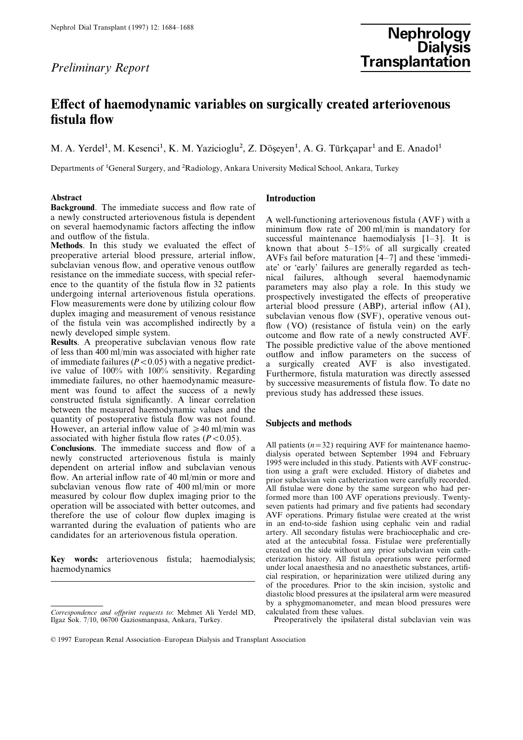# Nephrol Dial Transplant (1997) 12: 1684–1688<br>
Nephrology Nephrology Dialysis Preliminary Report **Fransplantation**

## Effect of haemodynamic variables on surgically created arteriovenous fistula flow

M. A. Yerdel<sup>1</sup>, M. Kesenci<sup>1</sup>, K. M. Yazicioglu<sup>2</sup>, Z. Döseyen<sup>1</sup>, A. G. Türkçapar<sup>1</sup> and E. Anadol<sup>1</sup>

Departments of 1General Surgery, and 2Radiology, Ankara University Medical School, Ankara, Turkey

**Background**. The immediate success and flow rate of a newly constructed arteriovenous fistula is dependent

between the measured haemodynamic values and the quantity of postoperative fistula flow was not found. Subjects and methods  $H_{\text{o}}$  However, an arterial inflow value of  $\geq 40$  ml/min was

measured by colour flow duplex imaging prior to the formed more than 100 AVF operations previously. Twenty-<br>operation will be associated with better outcomes, and seven patients had primary and five patients had secondary operation will be associated with better outcomes, and seven patients had primary and five patients had secondary therefore the use of colour flow duplex imaging is AVF operations. Primary fistulae were created at the wris therefore the use of colour flow duplex imaging is AVF operations. Primary fistulae were created at the wrist<br>warranted during the evaluation of patients who are in an end-to-side fashion using cephalic vein and radial warranted during the evaluation of patients who are in an end-to-side fashion using cephalic vein and radial<br>candidates for an arteriovenous fistula operation artery. All secondary fistulas were brachiocephalic and cre-

Key words: arteriovenous fistula; haemodialysis; eterization history. All fistula operations were performed haemodynamics under local anaesthesia and no anaesthetic substances, artifi-

## Abstract **Introduction**

a newly constructed arteriovenous fistula is dependent<br>on several haemodynamic factors affecting the inflow<br>and outflow of the fistula.<br>Methods. In this study we evaluated the effect of known that about 5–15% of all surgi subclavian venous flow, and operative venous outflow<br>ate' or 'early' failures are generally regarded as tech-<br>resistance on the immediate success, with special refer-<br>mice to the quantity of the fistula flow in 32 patient

associated with higher fistula flow rates ( $P < 0.05$ ).<br>Conclusions. The immediate success and flow of a<br>newly constructed arteriovenous fistula is mainly dialysis operated between September 1994 and February<br>dependent on candidates for an arteriovenous fistula operation. artery. All secondary fistulas were brachiocephalic and cre-<br>ated at the antecubital fossa. Fistulae were preferentially created on the side without any prior subclavian vein cathcial respiration, or heparinization were utilized during any of the procedures. Prior to the skin incision, systolic and diastolic blood pressures at the ipsilateral arm were measured by a sphygmomanometer, and mean blood pressures were

Correspondence and official requests to: Mehmet Ali Yerdel MD, calculated from these values. Ilgaz Sok. 7/10, 06700 Gaziosmanpasa, Ankara, Turkey. Preoperatively the ipsilateral distal subclavian vein was

<sup>© 1997</sup> European Renal Association–European Dialysis and Transplant Association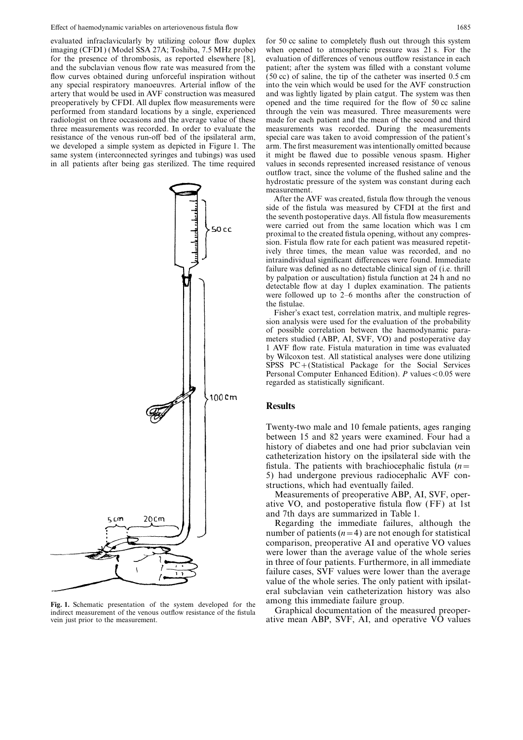evaluated infraclavicularly by utilizing colour flow duplex for 50 cc saline to completely flush out through this system imaging (CFDI) (Model SSA 27A; Toshiba, 7.5 MHz probe) when opened to atmospheric pressure was 21 s. For the for the presence of thrombosis, as reported elsewhere  $[8]$ , evaluation of differences of venous outflow resistance in each and the subclavian venous flow rate was measured from the patient; after the system was filled with a constant volume flow curves obtained during unforceful inspiration without  $(50 \text{ cc})$  of saline, the tip of the cathete flow curves obtained during unforceful inspiration without any special respiratory manoeuvres. Arterial inflow of the into the vein which would be used for the AVF construction artery that would be used in AVF construction was measured and was lightly ligated by plain catgut. The system was then preoperatively by CFDI. All duplex flow measurements were opened and the time required for the flow of 50 cc saline performed from standard locations by a single, experienced through the vein was measured. Three measuremen performed from standard locations by a single, experienced radiologist on three occasions and the average value of these made for each patient and the mean of the second and third three measurements was recorded. In order to evaluate the measurements was recorded. During the measurements resistance of the venous run-off bed of the ipsilateral arm, special care was taken to avoid compression of the patient's we developed a simple system as depicted in Figure 1. The arm. The first measurement was intentionally omitted because same system (interconnected syringes and tubings) was used it might be flawed due to possible venous spasm. Higher in all patients after being gas sterilized. The time required values in seconds represented increased resistance of venous



Fig. 1. Schematic presentation of the system developed for the among this immediate failure group.<br>indirect measurement of the venous outflow resistance of the fistula Graphical documentation of the measured preoper-

outflow tract, since the volume of the flushed saline and the hydrostatic pressure of the system was constant during each measurement.

After the AVF was created, fistula flow through the venous side of the fistula was measured by CFDI at the first and the seventh postoperative days. All fistula flow measurements were carried out from the same location which was 1 cm proximal to the created fistula opening, without any compression. Fistula flow rate for each patient was measured repetitively three times, the mean value was recorded, and no intraindividual significant differences were found. Immediate failure was defined as no detectable clinical sign of (i.e. thrill by palpation or auscultation) fistula function at 24 h and no detectable flow at day 1 duplex examination. The patients were followed up to 2–6 months after the construction of the fistulae.

Fisher's exact test, correlation matrix, and multiple regression analysis were used for the evaluation of the probability of possible correlation between the haemodynamic parameters studied (ABP, AI, SVF, VO) and postoperative day 1 AVF flow rate. Fistula maturation in time was evaluated by Wilcoxon test. All statistical analyses were done utilizing SPSS PC+(Statistical Package for the Social Services Personal Computer Enhanced Edition).  $P$  values < 0.05 were regarded as statistically significant.

## Results

Twenty-two male and 10 female patients, ages ranging between 15 and 82 years were examined. Four had a history of diabetes and one had prior subclavian vein catheterization history on the ipsilateral side with the fistula. The patients with brachiocephalic fistula  $(n=$ 5) had undergone previous radiocephalic AVF constructions, which had eventually failed.

Measurements of preoperative ABP, AI, SVF, operative VO, and postoperative fistula flow (FF) at 1st and 7th days are summarized in Table 1.

Regarding the immediate failures, although the number of patients  $(n=4)$  are not enough for statistical comparison, preoperative AI and operative VO values were lower than the average value of the whole series in three of four patients. Furthermore, in all immediate failure cases, SVF values were lower than the average value of the whole series. The only patient with ipsilateral subclavian vein catheterization history was also

vein just prior to the measurement. ative mean ABP, SVF, AI, and operative VO values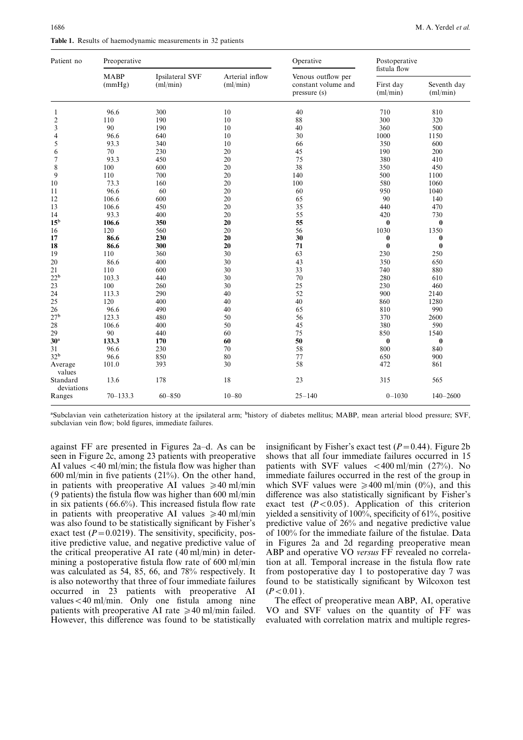| Patient no             | Preoperative          |                             |                             | Operative                                                 | Postoperative<br>fistula flow |                         |
|------------------------|-----------------------|-----------------------------|-----------------------------|-----------------------------------------------------------|-------------------------------|-------------------------|
|                        | <b>MABP</b><br>(mmHg) | Ipsilateral SVF<br>(ml/min) | Arterial inflow<br>(ml/min) | Venous outflow per<br>constant volume and<br>pressure (s) | First day<br>(ml/min)         | Seventh day<br>(ml/min) |
| 1                      | 96.6                  | 300                         | 10                          | 40                                                        | 710                           | 810                     |
| $\overline{2}$         | 110                   | 190                         | 10                          | 88                                                        | 300                           | 320                     |
| 3                      | 90                    | 190                         | 10                          | 40                                                        | 360                           | 500                     |
| 4                      | 96.6                  | 640                         | 10                          | 30                                                        | 1000                          | 1150                    |
| 5                      | 93.3                  | 340                         | 10                          | 66                                                        | 350                           | 600                     |
| 6                      | 70                    | 230                         | 20                          | 45                                                        | 190                           | 200                     |
| 7                      | 93.3                  | 450                         | 20                          | 75                                                        | 380                           | 410                     |
| 8                      | 100                   | 600                         | 20                          | 38                                                        | 350                           | 450                     |
| 9                      | 110                   | 700                         | 20                          | 140                                                       | 500                           | 1100                    |
| 10                     | 73.3                  | 160                         | 20                          | 100                                                       | 580                           | 1060                    |
| 11                     | 96.6                  | 60                          | 20                          | 60                                                        | 950                           | 1040                    |
| 12                     | 106.6                 | 600                         | 20                          | 65                                                        | 90                            | 140                     |
| 13                     | 106.6                 | 450                         | 20                          | 35                                                        | 440                           | 470                     |
| 14                     | 93.3                  | 400                         | 20                          | 55                                                        | 420                           | 730                     |
| 15 <sup>b</sup>        | 106.6                 | 350                         | 20                          | 55                                                        | 0                             | $\bf{0}$                |
| 16                     | 120                   | 560                         | 20                          | 56                                                        | 1030                          | 1350                    |
| 17                     | 86.6                  | 230                         | 20                          | 30                                                        | $\bf{0}$                      | $\bf{0}$                |
| 18                     | 86.6                  | 300                         | 20                          | 71                                                        | $\bf{0}$                      | $\bf{0}$                |
| 19                     | 110                   | 360                         | 30                          | 63                                                        | 230                           | 250                     |
| 20                     | 86.6                  | 400                         | 30                          | 43                                                        | 350                           | 650                     |
| 21                     | 110                   | 600                         | 30                          | 33                                                        | 740                           | 880                     |
| 22 <sup>b</sup>        | 103.3                 | 440                         | 30                          | 70                                                        | 280                           | 610                     |
| 23                     | 100                   | 260                         | 30                          | 25                                                        | 230                           | 460                     |
| 24                     | 113.3                 | 290                         | 40                          | 52                                                        | 900                           | 2140                    |
| 25                     | 120                   | 400                         | 40                          | 40                                                        | 860                           | 1280                    |
| 26                     | 96.6                  | 490                         | 40                          | 65                                                        | 810                           | 990                     |
| 27 <sup>b</sup>        | 123.3                 | 480                         | 50                          | 56                                                        | 370                           | 2600                    |
| 28                     | 106.6                 | 400                         | 50                          | 45                                                        | 380                           | 590                     |
| 29                     | 90                    | 440                         | 60                          | 75                                                        | 850                           | 1540                    |
| 30 <sup>a</sup>        | 133.3                 | 170                         | 60                          | 50                                                        | $\bf{0}$                      | $\bf{0}$                |
| 31                     | 96.6                  | 230                         | 70                          | 58                                                        | 800                           | 840                     |
| 32 <sup>b</sup>        | 96.6                  | 850                         | 80                          | 77                                                        | 650                           | 900                     |
| Average<br>values      | 101.0                 | 393                         | 30                          | 58                                                        | 472                           | 861                     |
| Standard<br>deviations | 13.6                  | 178                         | 18                          | 23                                                        | 315                           | 565                     |
| Ranges                 | $70 - 133.3$          | $60 - 850$                  | $10 - 80$                   | $25 - 140$                                                | $0 - 1030$                    | $140 - 2600$            |

aSubclavian vein catheterization history at the ipsilateral arm; bhistory of diabetes mellitus; MABP, mean arterial blood pressure; SVF, subclavian vein flow; bold figures, immediate failures.

AI values  $\lt$  40 ml/min; the fistula flow was higher than patients with SVF values  $\lt$  400 ml/min (27%). No (9 patients) the fistula flow was higher than 600 ml/min itive predictive value, and negative predictive value of in Figures 2a and 2d regarding preoperative mean<br>the critical preoperative AI rate (40 ml/min) in deter-<br>ABP and operative VO versus FF revealed no correlamining a postoperative fistula flow rate of 600 ml/min tion at all. Temporal increase in the fistula flow rate was calculated as 54, 85, 66, and 78% respectively. It from postoperative day 1 to postoperative day 7 was occurred in 23 patients with preoperative AI  $(P<0.01)$ . values  $\lt$  40 ml/min. Only one fistula among nine The effect of preoperative mean ABP, AI, operative

against FF are presented in Figures 2a–d. As can be insignificant by Fisher's exact test  $(P=0.44)$ . Figure 2b seen in Figure 2c, among 23 patients with preoperative shows that all four immediate failures occurred in 15 shows that all four immediate failures occurred in 15 600 ml/min in five patients (21%). On the other hand, immediate failures occurred in the rest of the group in in patients with preoperative AI values  $\geq 40$  ml/min which SVF values were  $\geq 400$  ml/min (0%), and this (9 patients) the fistula flow was higher than 600 ml/min difference was also statistically significant by Fishe in six patients (66.6%). This increased fistula flow rate exact test ( $P < 0.05$ ). Application of this criterion in patients with preoperative AI values  $\geq 40$  ml/min yielded a sensitivity of 100%, specificity of 61%, po in patients with preoperative AI values  $\geq 40$  ml/min yielded a sensitivity of 100%, specificity of 61%, positive was also found to be statistically significant by Fisher's predictive value of 26% and negative predictiv predictive value of 26% and negative predictive value exact test ( $P=0.0219$ ). The sensitivity, specificity, pos- of 100% for the immediate failure of the fistulae. Data ABP and operative VO versus FF revealed no correlais also noteworthy that three of four immediate failures found to be statistically significant by Wilcoxon test

patients with preoperative AI rate  $\geq 40$  ml/min failed. VO and SVF values on the quantity of FF was However, this difference was found to be statistically evaluated with correlation matrix and multiple regres-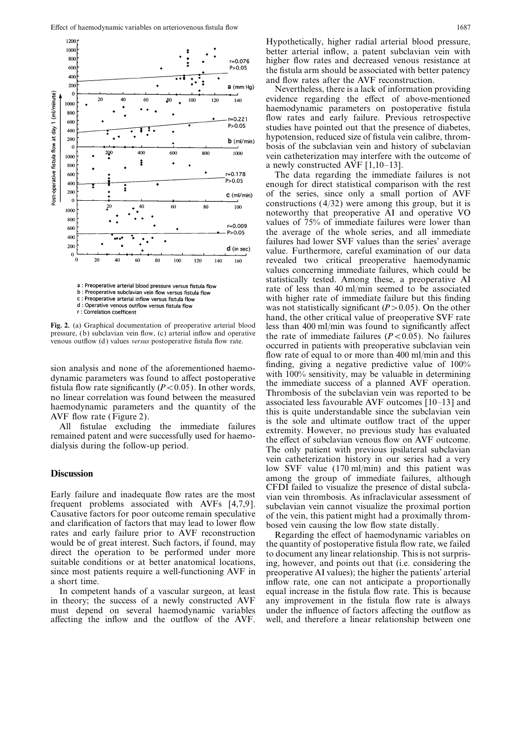

a : Preoperative arterial blood pressure versus fistula flow

b : Preoperative subclavian vein flow versus fistula flow c : Preoperative arterial inflow versus fistula flow

d : Operative venous outflow versus fistula flow

r : Correlation coefficent

frequent problems associated with AVFs [4,7,9]. subclavian vein cannot visualize the proximal portion<br>Causative factors for poor outcome remain speculative of the vein, this patient might had a proximally throm-<br>and clarif

in theory; the success of a newly constructed AVF any improvement in the fistula flow rate is always must depend on several haemodynamic variables under the influence of factors affecting the outflow as affecting the inflow and the outflow of the AVF. well, and therefore a linear relationship between one

Hypothetically, higher radial arterial blood pressure, better arterial inflow, a patent subclavian vein with higher flow rates and decreased venous resistance at the fistula arm should be associated with better patency and flow rates after the AVF reconstruction.

Nevertheless, there is a lack of information providing evidence regarding the effect of above-mentioned haemodynamic parameters on postoperative fistula flow rates and early failure. Previous retrospective studies have pointed out that the presence of diabetes, hypotension, reduced size of fistula vein calibre, thrombosis of the subclavian vein and history of subclavian vein catheterization may interfere with the outcome of a newly constructed AVF [1,10–13].

The data regarding the immediate failures is not enough for direct statistical comparison with the rest of the series, since only a small portion of AVF constructions (4/32) were among this group, but it is noteworthy that preoperative AI and operative VO values of 75% of immediate failures were lower than the average of the whole series, and all immediate failures had lower SVF values than the series' average value. Furthermore, careful examination of our data revealed two critical preoperative haemodynamic values concerning immediate failures, which could be statistically tested. Among these, a preoperative AI rate of less than 40 ml/min seemed to be associated with higher rate of immediate failure but this finding was not statistically significant  $(P>0.05)$ . On the other hand, the other critical value of preoperative SVF rate Fig. 2. (a) Graphical documentation of preoperative arterial blood<br>pressure, (b) subclavian vein flow, (c) arterial inflow and operative<br>venous outflow (d) values versus postoperative fistula flow rate.<br>cocurred in patien flow rate of equal to or more than 400 ml/min and this sion analysis and none of the aforementioned haemo-<br>dynamic parameters was found to affect postoperative<br>fistula flow rate significantly  $(P < 0.05)$ . In other words,<br>no linear correlation was found between the measured<br>hae vein catheterization history in our series had a very low SVF value (170 ml/min) and this patient was Discussion among the group of immediate failures, although among the group of immediate failures, although CFDI failed to visualize the presence of distal subcla-<br>Early failure and inadequate flow rates are the most<br>frequent problems associated with AVFs [4,7,9]. subclavian vein cannot visualize the proximal portion

direct the operation to be performed under more to document any linear relationship. This is not surpris-<br>suitable conditions or at better anatomical locations, ing, however, and points out that (i.e. considering the suitable conditions or at better anatomical locations, ing, however, and points out that (i.e. considering the since most patients require a well-functioning AVF in preoperative AI values); the higher the patients' arteria since most patients require a well-functioning AVF in preoperative AI values); the higher the patients' arterial a short time. inflow rate, one can not anticipate a proportionally In competent hands of a vascular surgeon, at least equal increase in the fistula flow rate. This is because